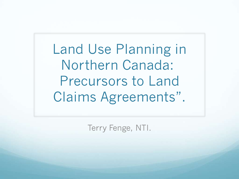Land Use Planning in Northern Canada: Precursors to Land Claims Agreements".

Terry Fenge, NTI.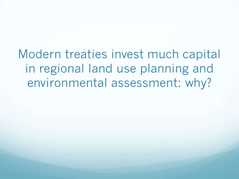Modern treaties invest much capital in regional land use planning and environmental assessment: why?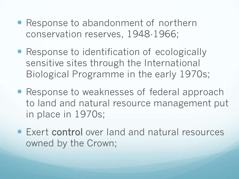- Response to abandonment of northern conservation reserves, 1948-1966;
- Response to identification of ecologically sensitive sites through the International Biological Programme in the early 1970s;
- Response to weaknesses of federal approach to land and natural resource management put in place in 1970s;
- Exert control over land and natural resources owned by the Crown;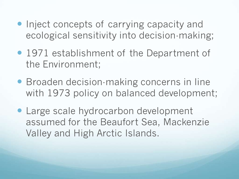- Inject concepts of carrying capacity and ecological sensitivity into decision-making;
- 1971 establishment of the Department of the Environment;
- **Broaden decision-making concerns in line** with 1973 policy on balanced development;
- Large scale hydrocarbon development assumed for the Beaufort Sea, Mackenzie Valley and High Arctic Islands.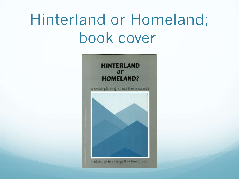## Hinterland or Homeland; book cover

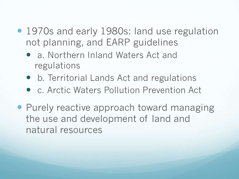- 1970s and early 1980s: land use regulation not planning, and EARP guidelines
	- a. Northern Inland Waters Act and regulations
	- b. Territorial Lands Act and regulations
	- c. Arctic Waters Pollution Prevention Act
- Purely reactive approach toward managing the use and development of land and natural resources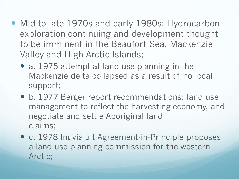- Mid to late 1970s and early 1980s: Hydrocarbon exploration continuing and development thought to be imminent in the Beaufort Sea, Mackenzie Valley and High Arctic Islands;
	- a. 1975 attempt at land use planning in the Mackenzie delta collapsed as a result of no local support;
	- b. 1977 Berger report recommendations: land use management to reflect the harvesting economy, and negotiate and settle Aboriginal land claims;
	- c. 1978 Inuvialuit Agreement-in-Principle proposes a land use planning commission for the western Arctic;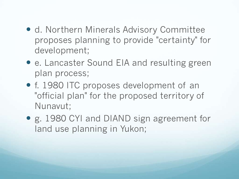- d. Northern Minerals Advisory Committee proposes planning to provide "certainty" for development;
- e. Lancaster Sound EIA and resulting green plan process;
- f. 1980 ITC proposes development of an "official plan" for the proposed territory of Nunavut;
- g. 1980 CYI and DIAND sign agreement for land use planning in Yukon;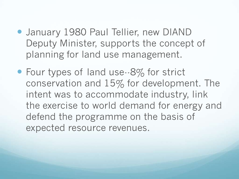- **January 1980 Paul Tellier, new DIAND** Deputy Minister, supports the concept of planning for land use management.
- Four types of land use--8% for strict conservation and 15% for development. The intent was to accommodate industry, link the exercise to world demand for energy and defend the programme on the basis of expected resource revenues.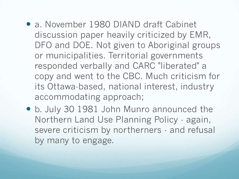- a. November 1980 DIAND draft Cabinet discussion paper heavily criticized by EMR, DFO and DOE. Not given to Aboriginal groups or municipalities. Territorial governments responded verbally and CARC "liberated" a copy and went to the CBC. Much criticism for its Ottawa-based, national interest, industry accommodating approach;
- b. July 30 1981 John Munro announced the Northern Land Use Planning Policy - again, severe criticism by northerners - and refusal by many to engage.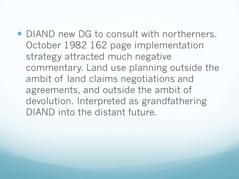• DIAND new DG to consult with northerners. October 1982 162 page implementation strategy attracted much negative commentary. Land use planning outside the ambit of land claims negotiations and agreements, and outside the ambit of devolution. Interpreted as grandfathering DIAND into the distant future.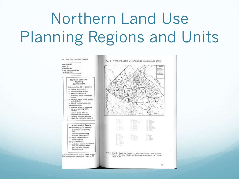## Northern Land Use Planning Regions and Units

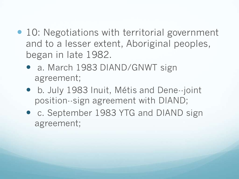- 10: Negotiations with territorial government and to a lesser extent, Aboriginal peoples, began in late 1982.
	- a. March 1983 DIAND/GNWT sign agreement;
	- b. July 1983 Inuit, Métis and Dene--joint position--sign agreement with DIAND;
	- c. September 1983 YTG and DIAND sign agreement;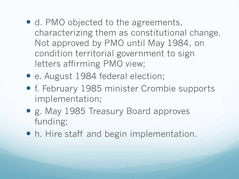- d. PMO objected to the agreements, characterizing them as constitutional change. Not approved by PMO until May 1984, on condition territorial government to sign letters affirming PMO view;
- e. August 1984 federal election;
- f. February 1985 minister Crombie supports implementation;
- g. May 1985 Treasury Board approves funding;
- h. Hire staff and begin implementation.